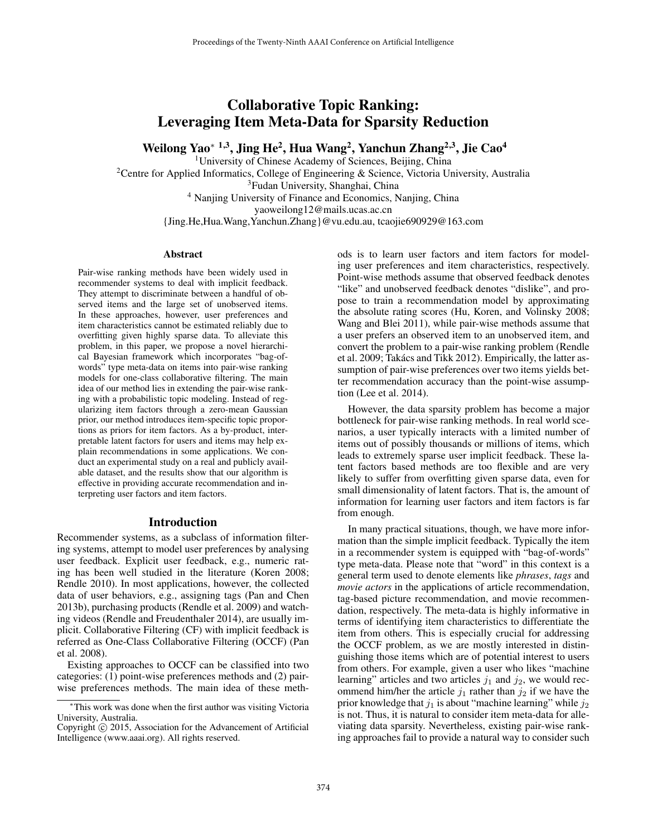# Collaborative Topic Ranking: Leveraging Item Meta-Data for Sparsity Reduction

Weilong Yao\* 1,3, Jing He<sup>2</sup>, Hua Wang<sup>2</sup>, Yanchun Zhang<sup>2,3</sup>, Jie Cao<sup>4</sup>

<sup>1</sup>University of Chinese Academy of Sciences, Beijing, China

<sup>2</sup>Centre for Applied Informatics, College of Engineering & Science, Victoria University, Australia

<sup>3</sup>Fudan University, Shanghai, China

<sup>4</sup> Nanjing University of Finance and Economics, Nanjing, China

yaoweilong12@mails.ucas.ac.cn

{Jing.He,Hua.Wang,Yanchun.Zhang}@vu.edu.au, tcaojie690929@163.com

### **Abstract**

Pair-wise ranking methods have been widely used in recommender systems to deal with implicit feedback. They attempt to discriminate between a handful of observed items and the large set of unobserved items. In these approaches, however, user preferences and item characteristics cannot be estimated reliably due to overfitting given highly sparse data. To alleviate this problem, in this paper, we propose a novel hierarchical Bayesian framework which incorporates "bag-ofwords" type meta-data on items into pair-wise ranking models for one-class collaborative filtering. The main idea of our method lies in extending the pair-wise ranking with a probabilistic topic modeling. Instead of regularizing item factors through a zero-mean Gaussian prior, our method introduces item-specific topic proportions as priors for item factors. As a by-product, interpretable latent factors for users and items may help explain recommendations in some applications. We conduct an experimental study on a real and publicly available dataset, and the results show that our algorithm is effective in providing accurate recommendation and interpreting user factors and item factors.

## Introduction

Recommender systems, as a subclass of information filtering systems, attempt to model user preferences by analysing user feedback. Explicit user feedback, e.g., numeric rating has been well studied in the literature (Koren 2008; Rendle 2010). In most applications, however, the collected data of user behaviors, e.g., assigning tags (Pan and Chen 2013b), purchasing products (Rendle et al. 2009) and watching videos (Rendle and Freudenthaler 2014), are usually implicit. Collaborative Filtering (CF) with implicit feedback is referred as One-Class Collaborative Filtering (OCCF) (Pan et al. 2008).

Existing approaches to OCCF can be classified into two categories: (1) point-wise preferences methods and (2) pairwise preferences methods. The main idea of these meth-

ods is to learn user factors and item factors for modeling user preferences and item characteristics, respectively. Point-wise methods assume that observed feedback denotes "like" and unobserved feedback denotes "dislike", and propose to train a recommendation model by approximating the absolute rating scores (Hu, Koren, and Volinsky 2008; Wang and Blei 2011), while pair-wise methods assume that a user prefers an observed item to an unobserved item, and convert the problem to a pair-wise ranking problem (Rendle et al. 2009; Takács and Tikk 2012). Empirically, the latter assumption of pair-wise preferences over two items yields better recommendation accuracy than the point-wise assumption (Lee et al. 2014).

However, the data sparsity problem has become a major bottleneck for pair-wise ranking methods. In real world scenarios, a user typically interacts with a limited number of items out of possibly thousands or millions of items, which leads to extremely sparse user implicit feedback. These latent factors based methods are too flexible and are very likely to suffer from overfitting given sparse data, even for small dimensionality of latent factors. That is, the amount of information for learning user factors and item factors is far from enough.

In many practical situations, though, we have more information than the simple implicit feedback. Typically the item in a recommender system is equipped with "bag-of-words" type meta-data. Please note that "word" in this context is a general term used to denote elements like *phrases*, *tags* and *movie actors* in the applications of article recommendation, tag-based picture recommendation, and movie recommendation, respectively. The meta-data is highly informative in terms of identifying item characteristics to differentiate the item from others. This is especially crucial for addressing the OCCF problem, as we are mostly interested in distinguishing those items which are of potential interest to users from others. For example, given a user who likes "machine learning" articles and two articles  $j_1$  and  $j_2$ , we would recommend him/her the article  $j_1$  rather than  $j_2$  if we have the prior knowledge that  $j_1$  is about "machine learning" while  $j_2$ is not. Thus, it is natural to consider item meta-data for alleviating data sparsity. Nevertheless, existing pair-wise ranking approaches fail to provide a natural way to consider such

<sup>∗</sup>This work was done when the first author was visiting Victoria University, Australia.

Copyright © 2015, Association for the Advancement of Artificial Intelligence (www.aaai.org). All rights reserved.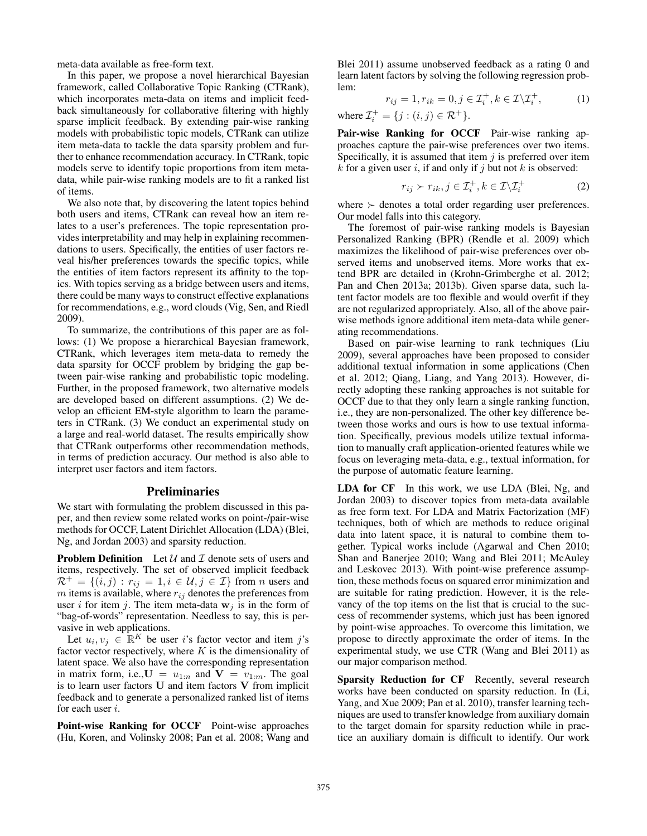meta-data available as free-form text.

In this paper, we propose a novel hierarchical Bayesian framework, called Collaborative Topic Ranking (CTRank), which incorporates meta-data on items and implicit feedback simultaneously for collaborative filtering with highly sparse implicit feedback. By extending pair-wise ranking models with probabilistic topic models, CTRank can utilize item meta-data to tackle the data sparsity problem and further to enhance recommendation accuracy. In CTRank, topic models serve to identify topic proportions from item metadata, while pair-wise ranking models are to fit a ranked list of items.

We also note that, by discovering the latent topics behind both users and items, CTRank can reveal how an item relates to a user's preferences. The topic representation provides interpretability and may help in explaining recommendations to users. Specifically, the entities of user factors reveal his/her preferences towards the specific topics, while the entities of item factors represent its affinity to the topics. With topics serving as a bridge between users and items, there could be many ways to construct effective explanations for recommendations, e.g., word clouds (Vig, Sen, and Riedl 2009).

To summarize, the contributions of this paper are as follows: (1) We propose a hierarchical Bayesian framework, CTRank, which leverages item meta-data to remedy the data sparsity for OCCF problem by bridging the gap between pair-wise ranking and probabilistic topic modeling. Further, in the proposed framework, two alternative models are developed based on different assumptions. (2) We develop an efficient EM-style algorithm to learn the parameters in CTRank. (3) We conduct an experimental study on a large and real-world dataset. The results empirically show that CTRank outperforms other recommendation methods, in terms of prediction accuracy. Our method is also able to interpret user factors and item factors.

### Preliminaries

We start with formulating the problem discussed in this paper, and then review some related works on point-/pair-wise methods for OCCF, Latent Dirichlet Allocation (LDA) (Blei, Ng, and Jordan 2003) and sparsity reduction.

**Problem Definition** Let  $U$  and  $\mathcal I$  denote sets of users and items, respectively. The set of observed implicit feedback  $\mathcal{R}^+ = \{(i, j) : r_{ij} = 1, i \in \mathcal{U}, j \in \mathcal{I}\}\$  from *n* users and  $m$  items is available, where  $r_{ij}$  denotes the preferences from user i for item j. The item meta-data  $w_j$  is in the form of "bag-of-words" representation. Needless to say, this is pervasive in web applications.

Let  $u_i, v_j \in \mathbb{R}^K$  be user i's factor vector and item j's factor vector respectively, where  $K$  is the dimensionality of latent space. We also have the corresponding representation in matrix form, i.e.,  $U = u_{1:n}$  and  $V = v_{1:m}$ . The goal is to learn user factors U and item factors V from implicit feedback and to generate a personalized ranked list of items for each user i.

Point-wise Ranking for OCCF Point-wise approaches (Hu, Koren, and Volinsky 2008; Pan et al. 2008; Wang and

Blei 2011) assume unobserved feedback as a rating 0 and learn latent factors by solving the following regression problem:

$$
r_{ij} = 1, r_{ik} = 0, j \in \mathcal{I}_i^+, k \in \mathcal{I} \backslash \mathcal{I}_i^+, \tag{1}
$$

where  $\mathcal{I}_i^+ = \{j : (i, j) \in \mathcal{R}^+\}.$ 

Pair-wise Ranking for OCCF Pair-wise ranking approaches capture the pair-wise preferences over two items. Specifically, it is assumed that item  $j$  is preferred over item  $k$  for a given user  $i$ , if and only if  $j$  but not  $k$  is observed:

$$
r_{ij} \succ r_{ik}, j \in \mathcal{I}_i^+, k \in \mathcal{I} \backslash \mathcal{I}_i^+
$$
 (2)

where  $\succ$  denotes a total order regarding user preferences. Our model falls into this category.

The foremost of pair-wise ranking models is Bayesian Personalized Ranking (BPR) (Rendle et al. 2009) which maximizes the likelihood of pair-wise preferences over observed items and unobserved items. More works that extend BPR are detailed in (Krohn-Grimberghe et al. 2012; Pan and Chen 2013a; 2013b). Given sparse data, such latent factor models are too flexible and would overfit if they are not regularized appropriately. Also, all of the above pairwise methods ignore additional item meta-data while generating recommendations.

Based on pair-wise learning to rank techniques (Liu 2009), several approaches have been proposed to consider additional textual information in some applications (Chen et al. 2012; Qiang, Liang, and Yang 2013). However, directly adopting these ranking approaches is not suitable for OCCF due to that they only learn a single ranking function, i.e., they are non-personalized. The other key difference between those works and ours is how to use textual information. Specifically, previous models utilize textual information to manually craft application-oriented features while we focus on leveraging meta-data, e.g., textual information, for the purpose of automatic feature learning.

LDA for CF In this work, we use LDA (Blei, Ng, and Jordan 2003) to discover topics from meta-data available as free form text. For LDA and Matrix Factorization (MF) techniques, both of which are methods to reduce original data into latent space, it is natural to combine them together. Typical works include (Agarwal and Chen 2010; Shan and Banerjee 2010; Wang and Blei 2011; McAuley and Leskovec 2013). With point-wise preference assumption, these methods focus on squared error minimization and are suitable for rating prediction. However, it is the relevancy of the top items on the list that is crucial to the success of recommender systems, which just has been ignored by point-wise approaches. To overcome this limitation, we propose to directly approximate the order of items. In the experimental study, we use CTR (Wang and Blei 2011) as our major comparison method.

Sparsity Reduction for CF Recently, several research works have been conducted on sparsity reduction. In (Li, Yang, and Xue 2009; Pan et al. 2010), transfer learning techniques are used to transfer knowledge from auxiliary domain to the target domain for sparsity reduction while in practice an auxiliary domain is difficult to identify. Our work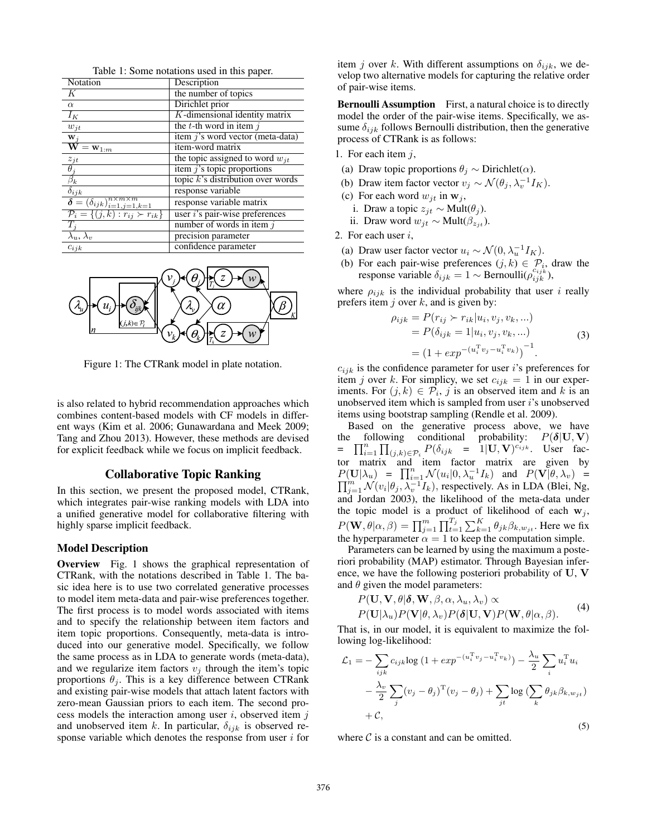| Notation                                                                                                              | Description                            |
|-----------------------------------------------------------------------------------------------------------------------|----------------------------------------|
| Κ                                                                                                                     | the number of topics                   |
| $\alpha$                                                                                                              | Dirichlet prior                        |
| $I_K$                                                                                                                 | $K$ -dimensional identity matrix       |
| $w_{it}$                                                                                                              | the $t$ -th word in item $\dot{\eta}$  |
| $\mathbf{w}_j$                                                                                                        | item j's word vector (meta-data)       |
| $\overline{\mathbf{W}}\mathbf{=}\mathbf{w}_{1:m}$                                                                     | item-word matrix                       |
|                                                                                                                       | the topic assigned to word $w_{it}$    |
| $\frac{z_{jt}}{\theta_j}$                                                                                             | item $j$ 's topic proportions          |
| $\overline{\beta_k}$                                                                                                  | topic $k$ 's distribution over words   |
| $\delta_{ijk}$                                                                                                        | response variable                      |
| $\frac{\delta = (\delta_{ijk})_{i=1,j=1,k=1}^{n \times m \times m}}{\mathcal{P}_i = \{(j,k) : r_{ij} \succ r_{ik}\}}$ | response variable matrix               |
|                                                                                                                       | user <i>i</i> 's pair-wise preferences |
| $T_i$                                                                                                                 | number of words in item $j$            |
| $\overline{\lambda_u}$ , $\lambda_v$                                                                                  | precision parameter                    |
| $c_{ijk}$                                                                                                             | confidence parameter                   |

Table 1: Some notations used in this paper.



Figure 1: The CTRank model in plate notation.

is also related to hybrid recommendation approaches which combines content-based models with CF models in different ways (Kim et al. 2006; Gunawardana and Meek 2009; Tang and Zhou 2013). However, these methods are devised for explicit feedback while we focus on implicit feedback.

## Collaborative Topic Ranking

In this section, we present the proposed model, CTRank, which integrates pair-wise ranking models with LDA into a unified generative model for collaborative filtering with highly sparse implicit feedback.

## Model Description

Overview Fig. 1 shows the graphical representation of CTRank, with the notations described in Table 1. The basic idea here is to use two correlated generative processes to model item meta-data and pair-wise preferences together. The first process is to model words associated with items and to specify the relationship between item factors and item topic proportions. Consequently, meta-data is introduced into our generative model. Specifically, we follow the same process as in LDA to generate words (meta-data), and we regularize item factors  $v_i$  through the item's topic proportions  $\theta_i$ . This is a key difference between CTRank and existing pair-wise models that attach latent factors with zero-mean Gaussian priors to each item. The second process models the interaction among user  $i$ , observed item  $j$ and unobserved item k. In particular,  $\delta_{ijk}$  is observed response variable which denotes the response from user  $i$  for

item j over k. With different assumptions on  $\delta_{ijk}$ , we develop two alternative models for capturing the relative order of pair-wise items.

Bernoulli Assumption First, a natural choice is to directly model the order of the pair-wise items. Specifically, we assume  $\delta_{ijk}$  follows Bernoulli distribution, then the generative process of CTRank is as follows:

- 1. For each item  $j$ ,
- (a) Draw topic proportions  $\theta_j \sim$  Dirichlet( $\alpha$ ).
- (b) Draw item factor vector  $v_j \sim \mathcal{N}(\theta_j, \lambda_v^{-1} I_K)$ .
- (c) For each word  $w_{it}$  in  $w_i$ ,
	- i. Draw a topic  $z_{jt} \sim \text{Mult}(\theta_j)$ .
	- ii. Draw word  $w_{jt}$  ∼ Mult( $\beta_{z_{it}}$ ).
- 2. For each user i,
- (a) Draw user factor vector  $u_i \sim \mathcal{N}(0, \lambda_u^{-1} I_K)$ .
- (b) For each pair-wise preferences  $(j, k) \in \mathcal{P}_i$ , draw the response variable  $\delta_{ijk} = 1 \sim \text{Bernoulli}(\rho_{ijk}^{c_{ijk}})$ ,

where  $\rho_{ijk}$  is the individual probability that user i really prefers item  $j$  over  $k$ , and is given by:

$$
\rho_{ijk} = P(r_{ij} > r_{ik}|u_i, v_j, v_k, ...)
$$
  
=  $P(\delta_{ijk} = 1|u_i, v_j, v_k, ...)$   
=  $(1 + exp^{-(u_i^T v_j - u_i^T v_k)})^{-1}$ . (3)

 $c_{ijk}$  is the confidence parameter for user i's preferences for item j over k. For simplicy, we set  $c_{ijk} = 1$  in our experiments. For  $(j,k) \in \mathcal{P}_i$ , j is an observed item and k is an unobserved item which is sampled from user i's unobserved items using bootstrap sampling (Rendle et al. 2009).

Based on the generative process above, we have the following conditional probability:  $P(\delta | \mathbf{U}, \mathbf{V})$ =  $\prod_{i=1}^n \prod_{(j,k)\in\mathcal{P}_i}^{\mathcal{P}} P(\delta_{ijk} = 1 | \mathbf{U}, \mathbf{V})^{c_{ijk}}$ . User factor matrix and item factor matrix are given by  $P(\mathbf{U}|\lambda_u) = \prod_{i=1}^n \mathcal{N}(u_i|0, \lambda_u^{-1}I_k)$  and  $P(\mathbf{V}|\theta, \lambda_v) =$  $\prod_{j=1}^{m} \mathcal{N}(v_i | \theta_j, \lambda_v^{-1} I_k)$ , respectively. As in LDA (Blei, Ng, and Jordan 2003), the likelihood of the meta-data under the topic model is a product of likelihood of each  $w_j$ ,  $P(\mathbf{W}, \theta | \alpha, \beta) = \prod_{j=1}^{m} \prod_{t=1}^{T_j} \sum_{k=1}^{K} \theta_{jk} \beta_{k, w_{jt}}$ . Here we fix the hyperparameter  $\alpha = 1$  to keep the computation simple.

Parameters can be learned by using the maximum a posteriori probability (MAP) estimator. Through Bayesian inference, we have the following posteriori probability of U, V and  $\theta$  given the model parameters:

$$
P(\mathbf{U}, \mathbf{V}, \theta | \boldsymbol{\delta}, \mathbf{W}, \beta, \alpha, \lambda_u, \lambda_v) \propto
$$
  
\n
$$
P(\mathbf{U} | \lambda_u) P(\mathbf{V} | \theta, \lambda_v) P(\boldsymbol{\delta} | \mathbf{U}, \mathbf{V}) P(\mathbf{W}, \theta | \alpha, \beta).
$$
 (4)

That is, in our model, it is equivalent to maximize the following log-likelihood:

$$
\mathcal{L}_1 = -\sum_{ijk} c_{ijk} \log \left( 1 + exp^{-(u_i^{\mathrm{T}} v_j - u_i^{\mathrm{T}} v_k)} \right) - \frac{\lambda_u}{2} \sum_i u_i^{\mathrm{T}} u_i
$$

$$
- \frac{\lambda_v}{2} \sum_j (v_j - \theta_j)^{\mathrm{T}} (v_j - \theta_j) + \sum_{jt} \log \left( \sum_k \theta_{jk} \beta_{k, w_{jt}} \right)
$$

$$
+ C,
$$

$$
(5)
$$

where  $\mathcal C$  is a constant and can be omitted.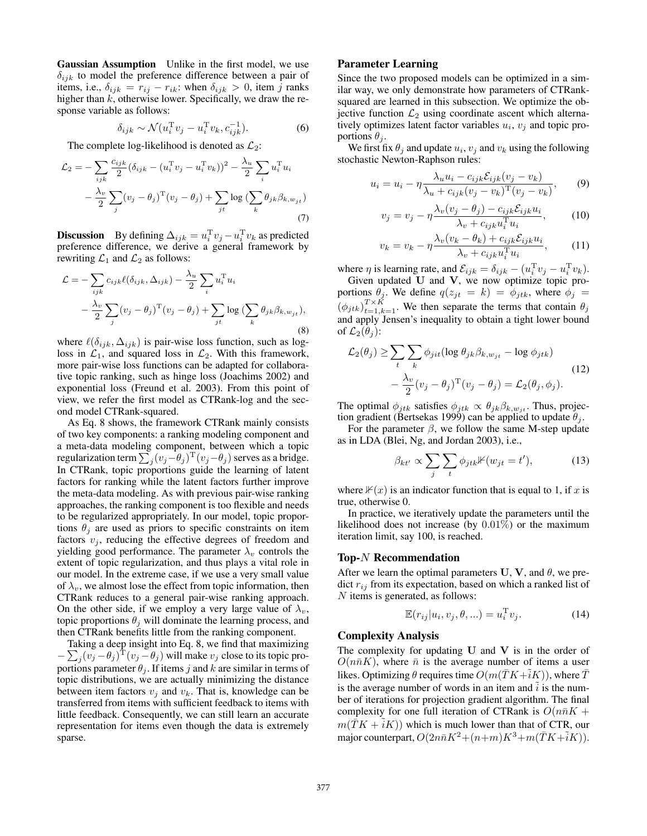Gaussian Assumption Unlike in the first model, we use  $\delta_{ijk}$  to model the preference difference between a pair of items, i.e.,  $\delta_{ijk} = r_{ij} - r_{ik}$ : when  $\delta_{ijk} > 0$ , item j ranks higher than  $k$ , otherwise lower. Specifically, we draw the response variable as follows:

$$
\delta_{ijk} \sim \mathcal{N}(u_i^{\mathrm{T}} v_j - u_i^{\mathrm{T}} v_k, c_{ijk}^{-1}). \tag{6}
$$

The complete log-likelihood is denoted as  $\mathcal{L}_2$ :

$$
\mathcal{L}_2 = -\sum_{ijk} \frac{c_{ijk}}{2} (\delta_{ijk} - (u_i^{\mathrm{T}} v_j - u_i^{\mathrm{T}} v_k))^2 - \frac{\lambda_u}{2} \sum_i u_i^{\mathrm{T}} u_i
$$

$$
- \frac{\lambda_v}{2} \sum_j (v_j - \theta_j)^{\mathrm{T}} (v_j - \theta_j) + \sum_{jt} \log \left( \sum_k \theta_{jk} \beta_{k, w_{jt}} \right)
$$
(7)

**Discussion** By defining  $\Delta_{ijk} = u_i^T v_j - u_i^T v_k$  as predicted preference difference, we derive a general framework by rewriting  $\mathcal{L}_1$  and  $\mathcal{L}_2$  as follows:

$$
\mathcal{L} = -\sum_{ijk} c_{ijk} \ell(\delta_{ijk}, \Delta_{ijk}) - \frac{\lambda_u}{2} \sum_i u_i^{\mathrm{T}} u_i
$$

$$
- \frac{\lambda_v}{2} \sum_j (v_j - \theta_j)^{\mathrm{T}} (v_j - \theta_j) + \sum_{jt} \log \left( \sum_k \theta_{jk} \beta_{k, w_{jt}} \right), \tag{8}
$$

where  $\ell(\delta_{ijk}, \Delta_{ijk})$  is pair-wise loss function, such as logloss in  $\mathcal{L}_1$ , and squared loss in  $\mathcal{L}_2$ . With this framework, more pair-wise loss functions can be adapted for collaborative topic ranking, such as hinge loss (Joachims 2002) and exponential loss (Freund et al. 2003). From this point of view, we refer the first model as CTRank-log and the second model CTRank-squared.

As Eq. 8 shows, the framework CTRank mainly consists of two key components: a ranking modeling component and a meta-data modeling component, between which a topic regularization term  $\sum_j (v_j - \theta_j)^{\mathrm{T}} (v_j - \theta_j)$  serves as a bridge. In CTRank, topic proportions guide the learning of latent factors for ranking while the latent factors further improve the meta-data modeling. As with previous pair-wise ranking approaches, the ranking component is too flexible and needs to be regularized appropriately. In our model, topic proportions  $\theta_i$  are used as priors to specific constraints on item factors  $v_j$ , reducing the effective degrees of freedom and yielding good performance. The parameter  $\lambda_v$  controls the extent of topic regularization, and thus plays a vital role in our model. In the extreme case, if we use a very small value of  $\lambda_v$ , we almost lose the effect from topic information, then CTRank reduces to a general pair-wise ranking approach. On the other side, if we employ a very large value of  $\lambda_v$ , topic proportions  $\theta_i$  will dominate the learning process, and then CTRank benefits little from the ranking component.

Taking a deep insight into Eq. 8, we find that maximizing  $-\sum_j (v_j - \theta_j)^T (v_j - \theta_j)$  will make  $v_j$  close to its topic proportions parameter  $\theta_i$ . If items j and k are similar in terms of topic distributions, we are actually minimizing the distance between item factors  $v_i$  and  $v_k$ . That is, knowledge can be transferred from items with sufficient feedback to items with little feedback. Consequently, we can still learn an accurate representation for items even though the data is extremely sparse.

# Parameter Learning

Since the two proposed models can be optimized in a similar way, we only demonstrate how parameters of CTRanksquared are learned in this subsection. We optimize the objective function  $\mathcal{L}_2$  using coordinate ascent which alternatively optimizes latent factor variables  $u_i$ ,  $v_j$  and topic proportions  $\theta_i$ .

We first fix  $\theta_j$  and update  $u_i$ ,  $v_j$  and  $v_k$  using the following stochastic Newton-Raphson rules:

$$
u_i = u_i - \eta \frac{\lambda_u u_i - c_{ijk} \mathcal{E}_{ijk}(v_j - v_k)}{\lambda_u + c_{ijk}(v_j - v_k)^{\mathrm{T}}(v_j - v_k)},\tag{9}
$$

$$
v_j = v_j - \eta \frac{\lambda_v (v_j - \theta_j) - c_{ijk} \mathcal{E}_{ijk} u_i}{\lambda_v + c_{ijk} u_i^{\mathrm{T}} u_i},\qquad(10)
$$

$$
v_k = v_k - \eta \frac{\lambda_v (v_k - \theta_k) + c_{ijk} \mathcal{E}_{ijk} u_i}{\lambda_v + c_{ijk} u_i^{\mathrm{T}} u_i},\tag{11}
$$

where  $\eta$  is learning rate, and  $\mathcal{E}_{ijk} = \delta_{ijk} - (u_i^T v_j - u_i^T v_k)$ . Given updated  $U$  and  $V$ , we now optimize topic pro-

portions  $\theta_j$ . We define  $q(z_{jt} = k) = \phi_{jtk}$ , where  $\phi_j =$  $(\phi_{jtk})_{t=1,k=1}^{T\times \bar{K}}$ . We then separate the terms that contain  $\theta_j$ and apply Jensen's inequality to obtain a tight lower bound of  $\mathcal{L}_2(\theta_i)$ :

$$
\mathcal{L}_2(\theta_j) \ge \sum_t \sum_k \phi_{jit} (\log \theta_{jk} \beta_{k, w_{jt}} - \log \phi_{jtk})
$$
  

$$
- \frac{\lambda_v}{2} (v_j - \theta_j)^{\mathrm{T}} (v_j - \theta_j) = \mathcal{L}_2(\theta_j, \phi_j).
$$
 (12)

The optimal  $\phi_{jtk}$  satisfies  $\phi_{jtk} \propto \theta_{jk}\beta_{k,w_{jt}}$ . Thus, projection gradient (Bertsekas 1999) can be applied to update  $\theta_j$ .

For the parameter  $\beta$ , we follow the same M-step update as in LDA (Blei, Ng, and Jordan 2003), i.e.,

$$
\beta_{kt'} \propto \sum_{j} \sum_{t} \phi_{jtk} \mathbb{1}(w_{jt} = t'), \tag{13}
$$

where  $\mathbb{F}(x)$  is an indicator function that is equal to 1, if x is true, otherwise 0.

In practice, we iteratively update the parameters until the likelihood does not increase (by 0.01%) or the maximum iteration limit, say 100, is reached.

#### Top-N Recommendation

After we learn the optimal parameters U, V, and  $\theta$ , we predict  $r_{ij}$  from its expectation, based on which a ranked list of N items is generated, as follows:

$$
\mathbb{E}(r_{ij}|u_i, v_j, \theta, \ldots) = u_i^{\mathrm{T}} v_j.
$$
 (14)

## Complexity Analysis

The complexity for updating  $U$  and  $V$  is in the order of  $O(n\bar{n}K)$ , where  $\bar{n}$  is the average number of items a user likes. Optimizing  $\theta$  requires time  $O(m(\bar{T}K + \tilde{i}K))$ , where  $\bar{T}$ is the average number of words in an item and  $i$  is the number of iterations for projection gradient algorithm. The final complexity for one full iteration of CTRank is  $O(n\bar{n}K +$  $m(TK + iK)$ ) which is much lower than that of CTR, our major counterpart,  $O(2n\bar{n}K^2 + (n+m)K^3 + m(\bar{T}K + \tilde{i}K)).$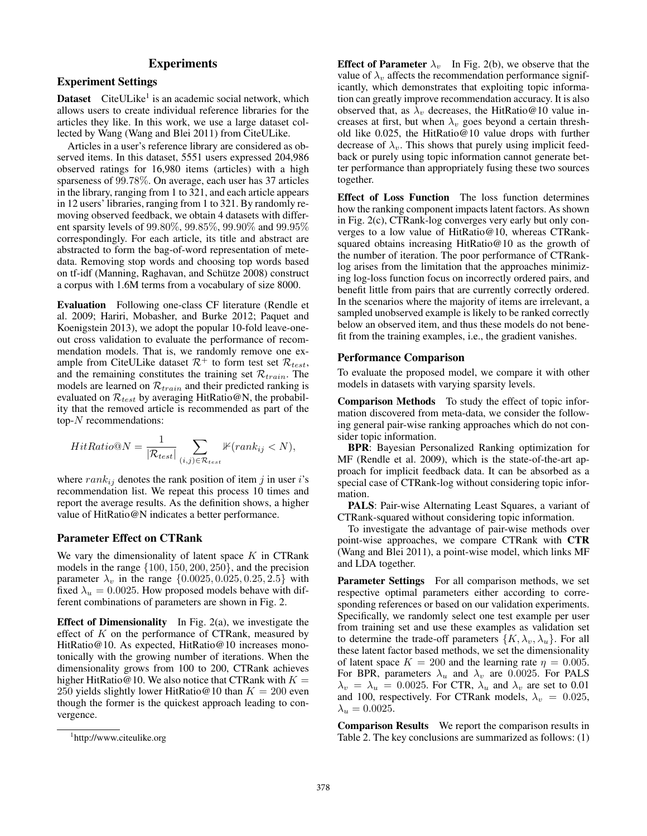# **Experiments**

# Experiment Settings

**Dataset** CiteULike<sup>1</sup> is an academic social network, which allows users to create individual reference libraries for the articles they like. In this work, we use a large dataset collected by Wang (Wang and Blei 2011) from CiteULike.

Articles in a user's reference library are considered as observed items. In this dataset, 5551 users expressed 204,986 observed ratings for 16,980 items (articles) with a high sparseness of 99.78%. On average, each user has 37 articles in the library, ranging from 1 to 321, and each article appears in 12 users' libraries, ranging from 1 to 321. By randomly removing observed feedback, we obtain 4 datasets with different sparsity levels of 99.80%, 99.85%, 99.90% and 99.95% correspondingly. For each article, its title and abstract are abstracted to form the bag-of-word representation of metedata. Removing stop words and choosing top words based on tf-idf (Manning, Raghavan, and Schütze 2008) construct a corpus with 1.6M terms from a vocabulary of size 8000.

Evaluation Following one-class CF literature (Rendle et al. 2009; Hariri, Mobasher, and Burke 2012; Paquet and Koenigstein 2013), we adopt the popular 10-fold leave-oneout cross validation to evaluate the performance of recommendation models. That is, we randomly remove one example from CiteULike dataset  $\mathcal{R}^+$  to form test set  $\mathcal{R}_{test}$ , and the remaining constitutes the training set  $\mathcal{R}_{train}$ . The models are learned on  $\mathcal{R}_{train}$  and their predicted ranking is evaluated on  $\mathcal{R}_{test}$  by averaging HitRatio@N, the probability that the removed article is recommended as part of the top-N recommendations:

$$
HitRatio@N = \frac{1}{|\mathcal{R}_{test}|} \sum_{(i,j) \in \mathcal{R}_{test}} \mathbb{1}(rank_{ij} < N),
$$

where  $rank_{ij}$  denotes the rank position of item j in user i's recommendation list. We repeat this process 10 times and report the average results. As the definition shows, a higher value of HitRatio@N indicates a better performance.

# Parameter Effect on CTRank

We vary the dimensionality of latent space  $K$  in CTRank models in the range  $\{100, 150, 200, 250\}$ , and the precision parameter  $\lambda_v$  in the range  $\{0.0025, 0.025, 0.25, 2.5\}$  with fixed  $\lambda_u = 0.0025$ . How proposed models behave with different combinations of parameters are shown in Fig. 2.

**Effect of Dimensionality** In Fig. 2(a), we investigate the effect of  $K$  on the performance of CTRank, measured by HitRatio@10. As expected, HitRatio@10 increases monotonically with the growing number of iterations. When the dimensionality grows from 100 to 200, CTRank achieves higher HitRatio@10. We also notice that CTRank with  $K =$ 250 yields slightly lower HitRatio@10 than  $K = 200$  even though the former is the quickest approach leading to convergence.

**Effect of Parameter**  $\lambda_v$  In Fig. 2(b), we observe that the value of  $\lambda_v$  affects the recommendation performance significantly, which demonstrates that exploiting topic information can greatly improve recommendation accuracy. It is also observed that, as  $\lambda_v$  decreases, the HitRatio@10 value increases at first, but when  $\lambda_v$  goes beyond a certain threshold like 0.025, the HitRatio@10 value drops with further decrease of  $\lambda_v$ . This shows that purely using implicit feedback or purely using topic information cannot generate better performance than appropriately fusing these two sources together.

Effect of Loss Function The loss function determines how the ranking component impacts latent factors. As shown in Fig. 2(c), CTRank-log converges very early but only converges to a low value of HitRatio@10, whereas CTRanksquared obtains increasing HitRatio@10 as the growth of the number of iteration. The poor performance of CTRanklog arises from the limitation that the approaches minimizing log-loss function focus on incorrectly ordered pairs, and benefit little from pairs that are currently correctly ordered. In the scenarios where the majority of items are irrelevant, a sampled unobserved example is likely to be ranked correctly below an observed item, and thus these models do not benefit from the training examples, i.e., the gradient vanishes.

### Performance Comparison

To evaluate the proposed model, we compare it with other models in datasets with varying sparsity levels.

Comparison Methods To study the effect of topic information discovered from meta-data, we consider the following general pair-wise ranking approaches which do not consider topic information.

BPR: Bayesian Personalized Ranking optimization for MF (Rendle et al. 2009), which is the state-of-the-art approach for implicit feedback data. It can be absorbed as a special case of CTRank-log without considering topic information.

PALS: Pair-wise Alternating Least Squares, a variant of CTRank-squared without considering topic information.

To investigate the advantage of pair-wise methods over point-wise approaches, we compare CTRank with CTR (Wang and Blei 2011), a point-wise model, which links MF and LDA together.

Parameter Settings For all comparison methods, we set respective optimal parameters either according to corresponding references or based on our validation experiments. Specifically, we randomly select one test example per user from training set and use these examples as validation set to determine the trade-off parameters  $\{K, \lambda_v, \lambda_u\}$ . For all these latent factor based methods, we set the dimensionality of latent space  $K = 200$  and the learning rate  $\eta = 0.005$ . For BPR, parameters  $\lambda_u$  and  $\lambda_v$  are 0.0025. For PALS  $\lambda_v = \lambda_u = 0.0025$ . For CTR,  $\lambda_u$  and  $\lambda_v$  are set to 0.01 and 100, respectively. For CTRank models,  $\lambda_v = 0.025$ ,  $\lambda_u = 0.0025.$ 

Comparison Results We report the comparison results in Table 2. The key conclusions are summarized as follows: (1)

<sup>1</sup> http://www.citeulike.org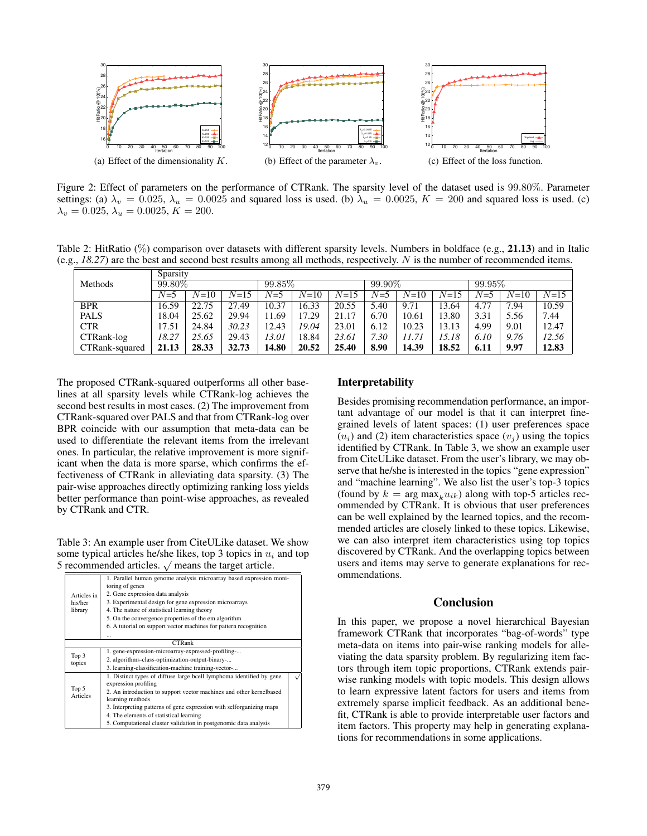

Figure 2: Effect of parameters on the performance of CTRank. The sparsity level of the dataset used is 99.80%. Parameter settings: (a)  $\lambda_v = 0.025$ ,  $\lambda_u = 0.0025$  and squared loss is used. (b)  $\lambda_u = 0.0025$ ,  $K = 200$  and squared loss is used. (c)  $\lambda_v = 0.025, \lambda_u = 0.0025, K = 200.$ 

Table 2: HitRatio (%) comparison over datasets with different sparsity levels. Numbers in boldface (e.g., 21.13) and in Italic (e.g., *18.27*) are the best and second best results among all methods, respectively. N is the number of recommended items.

|                | Sparsity |          |          |           |        |          |       |          |           |       |        |          |
|----------------|----------|----------|----------|-----------|--------|----------|-------|----------|-----------|-------|--------|----------|
| Methods        | 99.80%   |          |          | $99.85\%$ |        | 99.90%   |       |          | $99.95\%$ |       |        |          |
|                | $N=5$    | $N = 10$ | $N = 15$ | $N = 5$   | $N=10$ | $N = 15$ | $N=5$ | $N = 10$ | $N = 15$  | $N=5$ | $N=10$ | $N = 15$ |
| <b>BPR</b>     | 16.59    | 22.75    | 27.49    | 10.37     | 16.33  | 20.55    | 5.40  | 9.71     | 13.64     | 4.77  | 7.94   | 10.59    |
| <b>PALS</b>    | 18.04    | 25.62    | 29.94    | 1.69      | 17.29  | 21.17    | 6.70  | 10.61    | 13.80     | 3.31  | 5.56   | 7.44     |
| <b>CTR</b>     | 17.51    | 24.84    | 30.23    | 12.43     | 19.04  | 23.01    | 6.12  | 10.23    | 13.13     | 4.99  | 9.01   | 12.47    |
| CTRank-log     | 18.27    | 25.65    | 29.43    | 13.01     | 18.84  | 23.61    | 7.30  | 11.71    | 15.18     | 6.10  | 9.76   | 12.56    |
| CTRank-squared | 21.13    | 28.33    | 32.73    | 14.80     | 20.52  | 25.40    | 8.90  | 14.39    | 18.52     | 6.11  | 9.97   | 12.83    |

The proposed CTRank-squared outperforms all other baselines at all sparsity levels while CTRank-log achieves the second best results in most cases. (2) The improvement from CTRank-squared over PALS and that from CTRank-log over BPR coincide with our assumption that meta-data can be used to differentiate the relevant items from the irrelevant ones. In particular, the relative improvement is more significant when the data is more sparse, which confirms the effectiveness of CTRank in alleviating data sparsity. (3) The pair-wise approaches directly optimizing ranking loss yields better performance than point-wise approaches, as revealed by CTRank and CTR.

Table 3: An example user from CiteULike dataset. We show some typical articles he/she likes, top 3 topics in  $u_i$  and top some typical articles ne/she likes, top 5 topics in  $u_i$ <br>5 recommended articles.  $\sqrt{\ }$  means the target article.

|                   | 1. Parallel human genome analysis microarray based expression moni-<br>toring of genes                            |  |  |  |  |  |  |
|-------------------|-------------------------------------------------------------------------------------------------------------------|--|--|--|--|--|--|
| Articles in       | 2. Gene expression data analysis                                                                                  |  |  |  |  |  |  |
| his/her           | 3. Experimental design for gene expression microarrays<br>4. The nature of statistical learning theory<br>library |  |  |  |  |  |  |
|                   |                                                                                                                   |  |  |  |  |  |  |
|                   | 5. On the convergence properties of the em algorithm                                                              |  |  |  |  |  |  |
|                   | 6. A tutorial on support vector machines for pattern recognition                                                  |  |  |  |  |  |  |
|                   |                                                                                                                   |  |  |  |  |  |  |
|                   | <b>CTRank</b>                                                                                                     |  |  |  |  |  |  |
|                   | 1. gene-expression-microarray-expressed-profiling-                                                                |  |  |  |  |  |  |
| Top 3             | 2. algorithms-class-optimization-output-binary-                                                                   |  |  |  |  |  |  |
| topics            | 3. learning-classification-machine training-vector-                                                               |  |  |  |  |  |  |
| Top 5<br>Articles | 1. Distinct types of diffuse large bcell lymphoma identified by gene<br>expression profiling                      |  |  |  |  |  |  |
|                   | 2. An introduction to support vector machines and other kernelbased                                               |  |  |  |  |  |  |
|                   | learning methods                                                                                                  |  |  |  |  |  |  |
|                   | 3. Interpreting patterns of gene expression with selforganizing maps                                              |  |  |  |  |  |  |
|                   | 4. The elements of statistical learning                                                                           |  |  |  |  |  |  |
|                   | 5. Computational cluster validation in postgenomic data analysis                                                  |  |  |  |  |  |  |

# Interpretability

Besides promising recommendation performance, an important advantage of our model is that it can interpret finegrained levels of latent spaces: (1) user preferences space  $(u_i)$  and (2) item characteristics space  $(v_j)$  using the topics identified by CTRank. In Table 3, we show an example user from CiteULike dataset. From the user's library, we may observe that he/she is interested in the topics "gene expression" and "machine learning". We also list the user's top-3 topics (found by  $k = \arg \max_k u_{ik}$ ) along with top-5 articles recommended by CTRank. It is obvious that user preferences can be well explained by the learned topics, and the recommended articles are closely linked to these topics. Likewise, we can also interpret item characteristics using top topics discovered by CTRank. And the overlapping topics between users and items may serve to generate explanations for recommendations.

## Conclusion

In this paper, we propose a novel hierarchical Bayesian framework CTRank that incorporates "bag-of-words" type meta-data on items into pair-wise ranking models for alleviating the data sparsity problem. By regularizing item factors through item topic proportions, CTRank extends pairwise ranking models with topic models. This design allows to learn expressive latent factors for users and items from extremely sparse implicit feedback. As an additional benefit, CTRank is able to provide interpretable user factors and item factors. This property may help in generating explanations for recommendations in some applications.